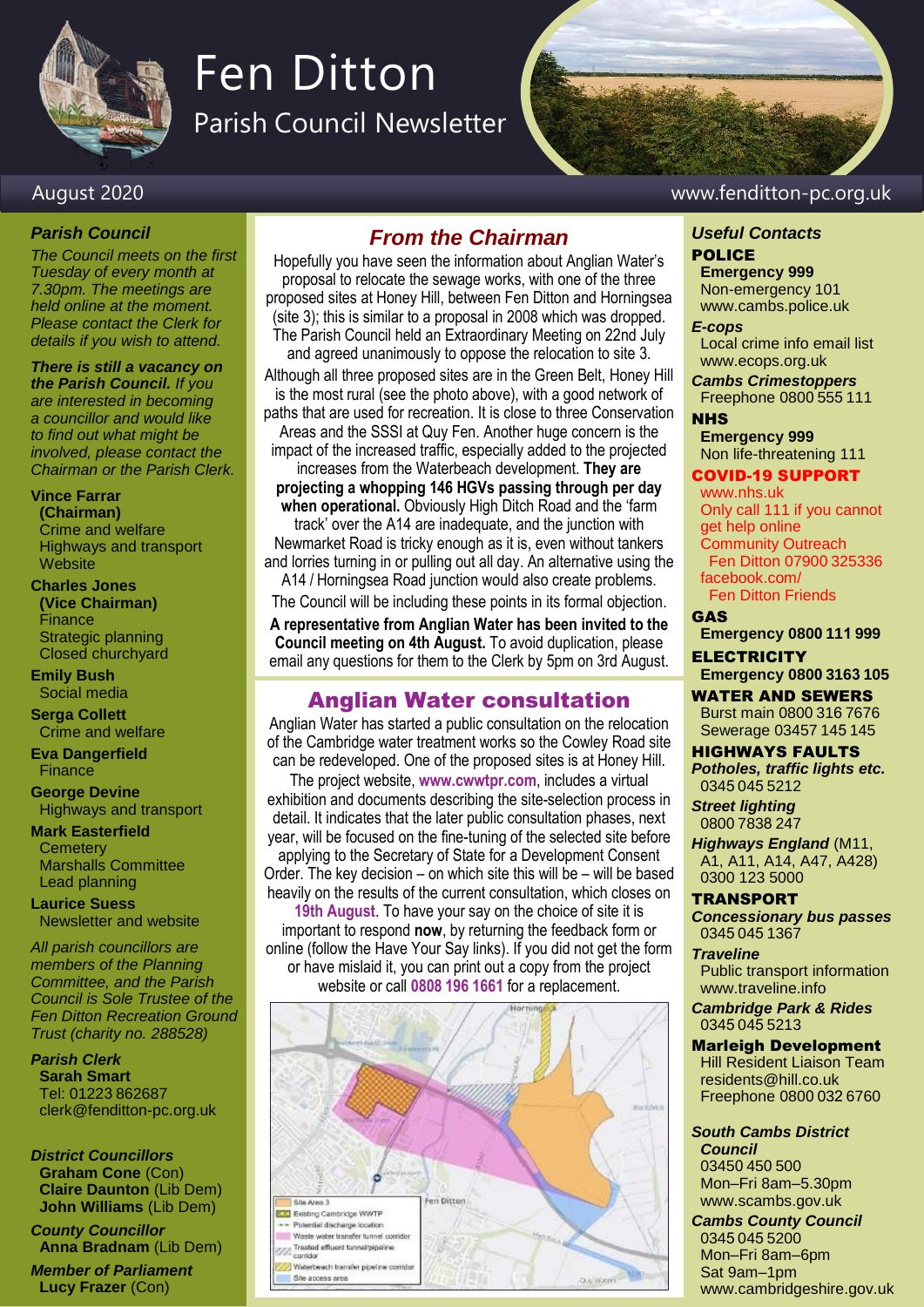

# Fen Ditton

Parish Council Newsletter

#### August 2020 www.fenditton-pc.org.uk

#### *Parish Council*

*The Council meets on the first Tuesday of every month at 7.30pm. The meetings are held online at the moment. Please contact the Clerk for details if you wish to attend.*

*There is still a vacancy on the Parish Council. If you are interested in becoming a councillor and would like to find out what might be involved, please contact the Chairman or the Parish Clerk.*

**Vince Farrar**

**(Chairman)** Crime and welfare Highways and transport **Website** 

#### **Charles Jones**

**(Vice Chairman)** Finance Strategic planning Closed churchyard

**Emily Bush** Social media

**Serga Collett** Crime and welfare

**Eva Dangerfield** Finance

**George Devine** Highways and transport

**Mark Easterfield Cemetery** Marshalls Committee Lead planning

**Laurice Suess** Newsletter and website

*All parish councillors are members of the Planning Committee, and the Parish Council is Sole Trustee of the Fen Ditton Recreation Ground Trust (charity no. 288528)*

*Parish Clerk* **Sarah Smart** Tel: 01223 862687 clerk@fenditton-pc.org.uk

*District Councillors* **Graham Cone** (Con) **Claire Daunton** (Lib Dem) **John Williams** (Lib Dem)

*County Councillor* **Anna Bradnam** (Lib Dem)

*Member of Parliament* **Lucy Frazer** (Con)

#### *From the Chairman*

Hopefully you have seen the information about Anglian Water's proposal to relocate the sewage works, with one of the three proposed sites at Honey Hill, between Fen Ditton and Horningsea (site 3); this is similar to a proposal in 2008 which was dropped. The Parish Council held an Extraordinary Meeting on 22nd July and agreed unanimously to oppose the relocation to site 3.

Although all three proposed sites are in the Green Belt, Honey Hill is the most rural (see the photo above), with a good network of paths that are used for recreation. It is close to three Conservation Areas and the SSSI at Quy Fen. Another huge concern is the

impact of the increased traffic, especially added to the projected increases from the Waterbeach development. **They are** 

**projecting a whopping 146 HGVs passing through per day when operational.** Obviously High Ditch Road and the 'farm track' over the A14 are inadequate, and the junction with

Newmarket Road is tricky enough as it is, even without tankers and lorries turning in or pulling out all day. An alternative using the A14 / Horningsea Road junction would also create problems.

The Council will be including these points in its formal objection. **A representative from Anglian Water has been invited to the Council meeting on 4th August.** To avoid duplication, please email any questions for them to the Clerk by 5pm on 3rd August.

### Anglian Water consultation

Anglian Water has started a public consultation on the relocation of the Cambridge water treatment works so the Cowley Road site can be redeveloped. One of the proposed sites is at Honey Hill.

The project website, **www.cwwtpr.com**, includes a virtual exhibition and documents describing the site-selection process in detail. It indicates that the later public consultation phases, next year, will be focused on the fine-tuning of the selected site before applying to the Secretary of State for a Development Consent Order. The key decision – on which site this will be – will be based heavily on the results of the current consultation, which closes on

**19th August**. To have your say on the choice of site it is important to respond **now**, by returning the feedback form or online (follow the Have Your Say links). If you did not get the form or have mislaid it, you can print out a copy from the project website or call **0808 196 1661** for a replacement.



#### *Useful Contacts* POLICE

**Emergency 999** Non-emergency 101

www.cambs.police.uk *E-cops*

Local crime info email list www.ecops.org.uk

*Cambs Crimestoppers* Freephone 0800 555 111

**NHS Emergency 999**

Non life-threatening 111 COVID-19 SUPPORT

#### www.nhs.uk

Only call 111 if you cannot get help online Community Outreach Fen Ditton 07900 325336 facebook.com/ Fen Ditton Friends

GAS

**Emergency 0800 111 999**

**ELECTRICITY Emergency 0800 3163 105**

WATER AND SEWERS

Burst main 0800 316 7676 Sewerage 03457 145 145

HIGHWAYS FAULTS *Potholes, traffic lights etc.* 0345 045 5212

*Street lighting* 0800 7838 247

*Highways England* (M11, A1, A11, A14, A47, A428) 0300 123 5000

#### TRANSPORT

*Concessionary bus passes* 0345 045 1367

*Traveline*

Public transport information www.traveline.info

*Cambridge Park & Rides* 0345 045 5213

#### Marleigh Development Hill Resident Liaison Team

residents@hill.co.uk Freephone 0800 032 6760

*South Cambs District Council*

03450 450 500 Mon–Fri 8am–5.30pm www.scambs.gov.uk

*Cambs County Council* 0345 045 5200 Mon–Fri 8am–6pm Sat 9am–1pm www.cambridgeshire.gov.uk